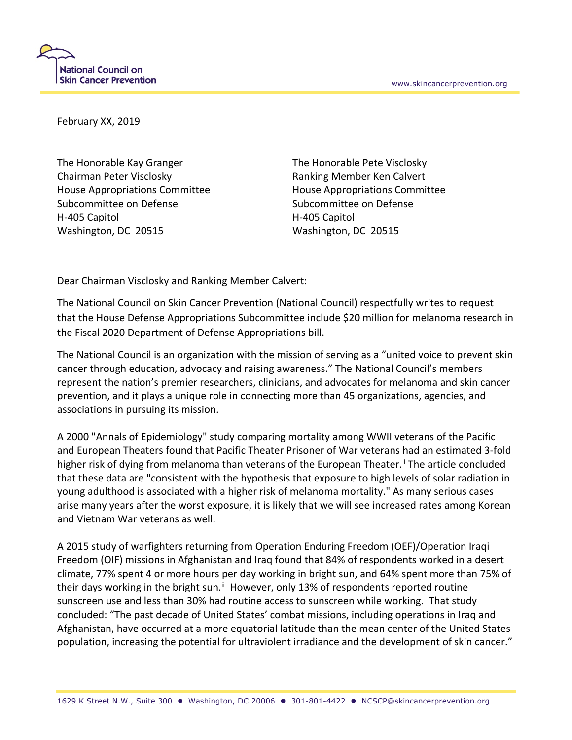

February XX, 2019

The Honorable Kay Granger The Honorable Pete Visclosky Chairman Peter Visclosky Ranking Member Ken Calvert House Appropriations Committee House Appropriations Committee Subcommittee on Defense Subcommittee on Defense H-405 Capitol H-405 Capitol Washington, DC 20515 Washington, DC 20515

Dear Chairman Visclosky and Ranking Member Calvert:

The National Council on Skin Cancer Prevention (National Council) respectfully writes to request that the House Defense Appropriations Subcommittee include \$20 million for melanoma research in the Fiscal 2020 Department of Defense Appropriations bill.

The National Council is an organization with the mission of serving as a "united voice to prevent skin cancer through education, advocacy and raising awareness." The National Council's members represent the nation's premier researchers, clinicians, and advocates for melanoma and skin cancer prevention, and it plays a unique role in connecting more than 45 organizations, agencies, and associations in pursuing its mission.

A 2000 "Annals of Epidemiology" study comparing mortality among WWII veterans of the Pacific and European Theaters found that Pacific Theater Prisoner of War veterans had an estimated 3-fold higher risk of dying from melanoma than veterans of the European Theater. The article concluded that these data are "consistent with the hypothesis that exposure to high levels of solar radiation in young adulthood is associated with a higher risk of melanoma mortality." As many serious cases arise many years after the worst exposure, it is likely that we will see increased rates among Korean and Vietnam War veterans as well.

A 2015 study of warfighters returning from Operation Enduring Freedom (OEF)/Operation Iraqi Freedom (OIF) missions in Afghanistan and Iraq found that 84% of respondents worked in a desert climate, 77% spent 4 or more hours per day working in bright sun, and 64% spent more than 75% of their days working in the bright sun.<sup>ii</sup> However, only 13% of respondents reported routine sunscreen use and less than 30% had routine access to sunscreen while working. That study concluded: "The past decade of United States' combat missions, including operations in Iraq and Afghanistan, have occurred at a more equatorial latitude than the mean center of the United States population, increasing the potential for ultraviolent irradiance and the development of skin cancer."